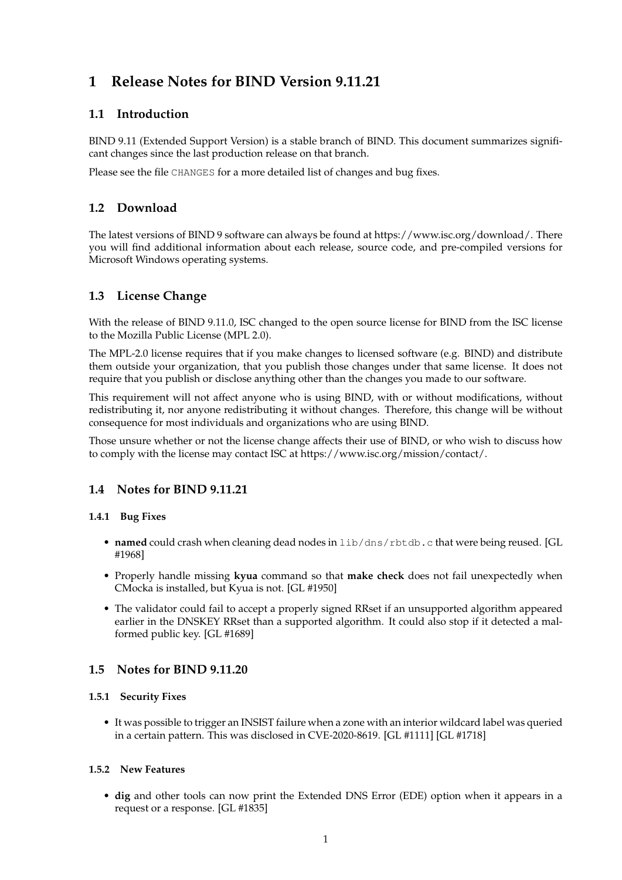# **1 Release Notes for BIND Version 9.11.21**

# **1.1 Introduction**

BIND 9.11 (Extended Support Version) is a stable branch of BIND. This document summarizes significant changes since the last production release on that branch.

Please see the file CHANGES for a more detailed list of changes and bug fixes.

# **1.2 Download**

The latest versions of BIND 9 software can always be found at https://www.isc.org/download/. There you will find additional information about each release, source code, and pre-compiled versions for Microsoft Windows operating systems.

# **1.3 License Change**

With the release of BIND 9.11.0, ISC changed to the open source license for BIND from the ISC license to the Mozilla Public License (MPL 2.0).

The MPL-2.0 license requires that if you make changes to licensed software (e.g. BIND) and distribute them outside your organization, that you publish those changes under that same license. It does not require that you publish or disclose anything other than the changes you made to our software.

This requirement will not affect anyone who is using BIND, with or without modifications, without redistributing it, nor anyone redistributing it without changes. Therefore, this change will be without consequence for most individuals and organizations who are using BIND.

Those unsure whether or not the license change affects their use of BIND, or who wish to discuss how to comply with the license may contact ISC at https://www.isc.org/mission/contact/.

# **1.4 Notes for BIND 9.11.21**

# **1.4.1 Bug Fixes**

- **named** could crash when cleaning dead nodes in lib/dns/rbtdb.c that were being reused. [GL #1968]
- Properly handle missing **kyua** command so that **make check** does not fail unexpectedly when CMocka is installed, but Kyua is not. [GL #1950]
- The validator could fail to accept a properly signed RRset if an unsupported algorithm appeared earlier in the DNSKEY RRset than a supported algorithm. It could also stop if it detected a malformed public key. [GL #1689]

# **1.5 Notes for BIND 9.11.20**

# **1.5.1 Security Fixes**

• It was possible to trigger an INSIST failure when a zone with an interior wildcard label was queried in a certain pattern. This was disclosed in CVE-2020-8619. [GL #1111] [GL #1718]

# **1.5.2 New Features**

• **dig** and other tools can now print the Extended DNS Error (EDE) option when it appears in a request or a response. [GL #1835]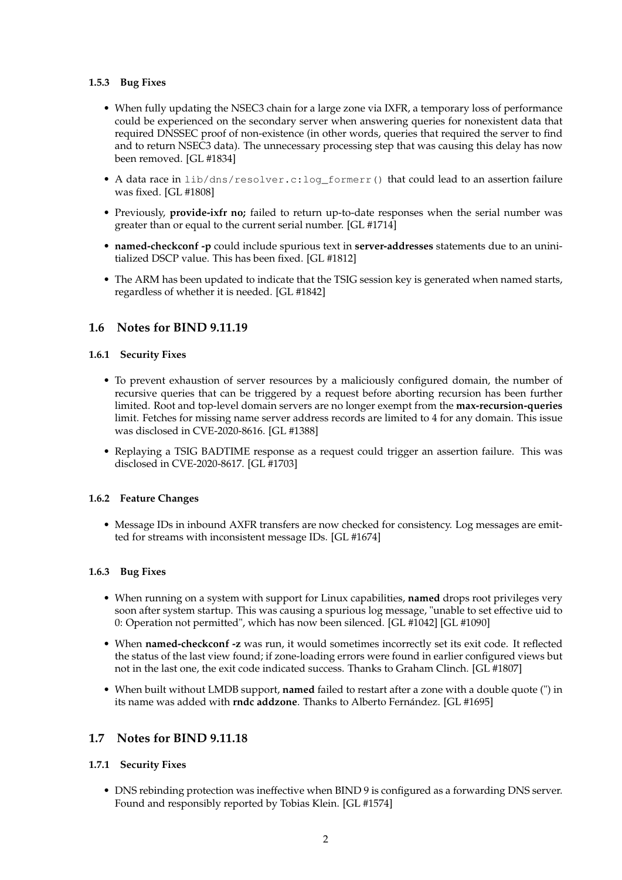### **1.5.3 Bug Fixes**

- When fully updating the NSEC3 chain for a large zone via IXFR, a temporary loss of performance could be experienced on the secondary server when answering queries for nonexistent data that required DNSSEC proof of non-existence (in other words, queries that required the server to find and to return NSEC3 data). The unnecessary processing step that was causing this delay has now been removed. [GL #1834]
- A data race in lib/dns/resolver.c:log\_formerr() that could lead to an assertion failure was fixed. [GL #1808]
- Previously, **provide-ixfr no;** failed to return up-to-date responses when the serial number was greater than or equal to the current serial number. [GL #1714]
- **named-checkconf -p** could include spurious text in **server-addresses** statements due to an uninitialized DSCP value. This has been fixed. [GL #1812]
- The ARM has been updated to indicate that the TSIG session key is generated when named starts, regardless of whether it is needed. [GL #1842]

# **1.6 Notes for BIND 9.11.19**

# **1.6.1 Security Fixes**

- To prevent exhaustion of server resources by a maliciously configured domain, the number of recursive queries that can be triggered by a request before aborting recursion has been further limited. Root and top-level domain servers are no longer exempt from the **max-recursion-queries** limit. Fetches for missing name server address records are limited to 4 for any domain. This issue was disclosed in CVE-2020-8616. [GL #1388]
- Replaying a TSIG BADTIME response as a request could trigger an assertion failure. This was disclosed in CVE-2020-8617. [GL #1703]

#### **1.6.2 Feature Changes**

• Message IDs in inbound AXFR transfers are now checked for consistency. Log messages are emitted for streams with inconsistent message IDs. [GL #1674]

#### **1.6.3 Bug Fixes**

- When running on a system with support for Linux capabilities, **named** drops root privileges very soon after system startup. This was causing a spurious log message, "unable to set effective uid to 0: Operation not permitted", which has now been silenced. [GL #1042] [GL #1090]
- When **named-checkconf -z** was run, it would sometimes incorrectly set its exit code. It reflected the status of the last view found; if zone-loading errors were found in earlier configured views but not in the last one, the exit code indicated success. Thanks to Graham Clinch. [GL #1807]
- When built without LMDB support, **named** failed to restart after a zone with a double quote (") in its name was added with **rndc addzone**. Thanks to Alberto Fernández. [GL #1695]

# **1.7 Notes for BIND 9.11.18**

# **1.7.1 Security Fixes**

• DNS rebinding protection was ineffective when BIND 9 is configured as a forwarding DNS server. Found and responsibly reported by Tobias Klein. [GL #1574]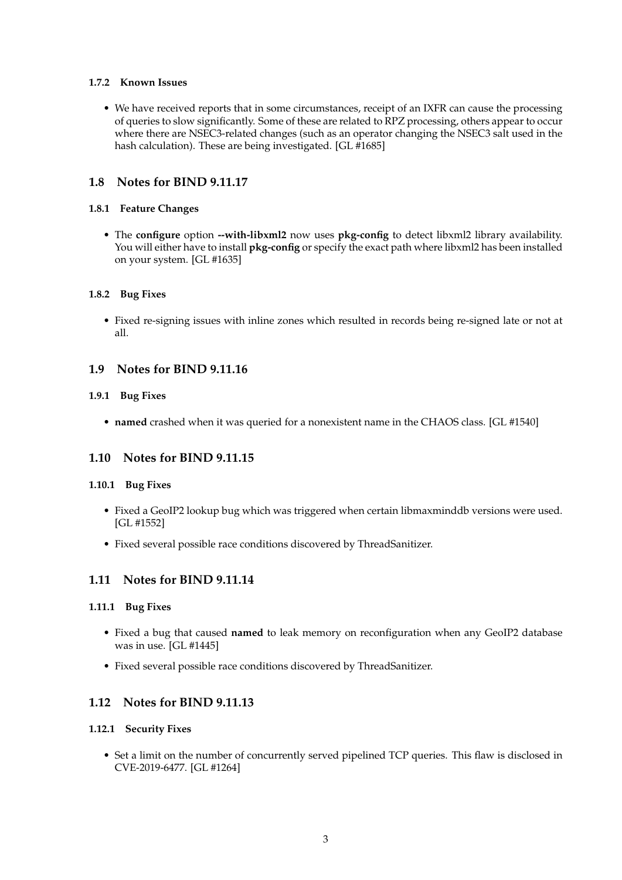### **1.7.2 Known Issues**

• We have received reports that in some circumstances, receipt of an IXFR can cause the processing of queries to slow significantly. Some of these are related to RPZ processing, others appear to occur where there are NSEC3-related changes (such as an operator changing the NSEC3 salt used in the hash calculation). These are being investigated. [GL #1685]

# **1.8 Notes for BIND 9.11.17**

### **1.8.1 Feature Changes**

• The **configure** option **--with-libxml2** now uses **pkg-config** to detect libxml2 library availability. You will either have to install **pkg-config** or specify the exact path where libxml2 has been installed on your system. [GL #1635]

### **1.8.2 Bug Fixes**

• Fixed re-signing issues with inline zones which resulted in records being re-signed late or not at all.

# **1.9 Notes for BIND 9.11.16**

### **1.9.1 Bug Fixes**

• **named** crashed when it was queried for a nonexistent name in the CHAOS class. [GL #1540]

# **1.10 Notes for BIND 9.11.15**

#### **1.10.1 Bug Fixes**

- Fixed a GeoIP2 lookup bug which was triggered when certain libmaxminddb versions were used. [GL #1552]
- Fixed several possible race conditions discovered by ThreadSanitizer.

# **1.11 Notes for BIND 9.11.14**

#### **1.11.1 Bug Fixes**

- Fixed a bug that caused **named** to leak memory on reconfiguration when any GeoIP2 database was in use. [GL #1445]
- Fixed several possible race conditions discovered by ThreadSanitizer.

# **1.12 Notes for BIND 9.11.13**

#### **1.12.1 Security Fixes**

• Set a limit on the number of concurrently served pipelined TCP queries. This flaw is disclosed in CVE-2019-6477. [GL #1264]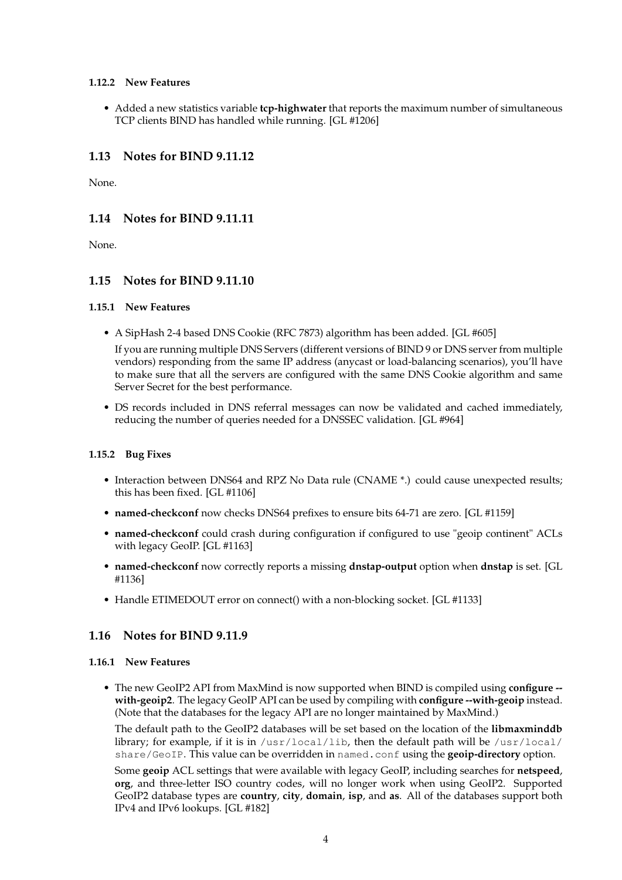### **1.12.2 New Features**

• Added a new statistics variable **tcp-highwater** that reports the maximum number of simultaneous TCP clients BIND has handled while running. [GL #1206]

# **1.13 Notes for BIND 9.11.12**

None.

# **1.14 Notes for BIND 9.11.11**

None.

# **1.15 Notes for BIND 9.11.10**

#### **1.15.1 New Features**

• A SipHash 2-4 based DNS Cookie (RFC 7873) algorithm has been added. [GL #605]

If you are running multiple DNS Servers (different versions of BIND 9 or DNS server from multiple vendors) responding from the same IP address (anycast or load-balancing scenarios), you'll have to make sure that all the servers are configured with the same DNS Cookie algorithm and same Server Secret for the best performance.

• DS records included in DNS referral messages can now be validated and cached immediately, reducing the number of queries needed for a DNSSEC validation. [GL #964]

# **1.15.2 Bug Fixes**

- Interaction between DNS64 and RPZ No Data rule (CNAME \*.) could cause unexpected results; this has been fixed. [GL #1106]
- **named-checkconf** now checks DNS64 prefixes to ensure bits 64-71 are zero. [GL #1159]
- **named-checkconf** could crash during configuration if configured to use "geoip continent" ACLs with legacy GeoIP. [GL #1163]
- **named-checkconf** now correctly reports a missing **dnstap-output** option when **dnstap** is set. [GL #1136]
- Handle ETIMEDOUT error on connect() with a non-blocking socket. [GL #1133]

# **1.16 Notes for BIND 9.11.9**

### **1.16.1 New Features**

• The new GeoIP2 API from MaxMind is now supported when BIND is compiled using **configure - with-geoip2**. The legacy GeoIP API can be used by compiling with **configure --with-geoip** instead. (Note that the databases for the legacy API are no longer maintained by MaxMind.)

The default path to the GeoIP2 databases will be set based on the location of the **libmaxminddb** library; for example, if it is in  $/$ usr $/$ local $/$ lib, then the default path will be  $/$ usr $/$ local $/$ share/GeoIP. This value can be overridden in named.conf using the **geoip-directory** option.

Some **geoip** ACL settings that were available with legacy GeoIP, including searches for **netspeed**, **org**, and three-letter ISO country codes, will no longer work when using GeoIP2. Supported GeoIP2 database types are **country**, **city**, **domain**, **isp**, and **as**. All of the databases support both IPv4 and IPv6 lookups. [GL #182]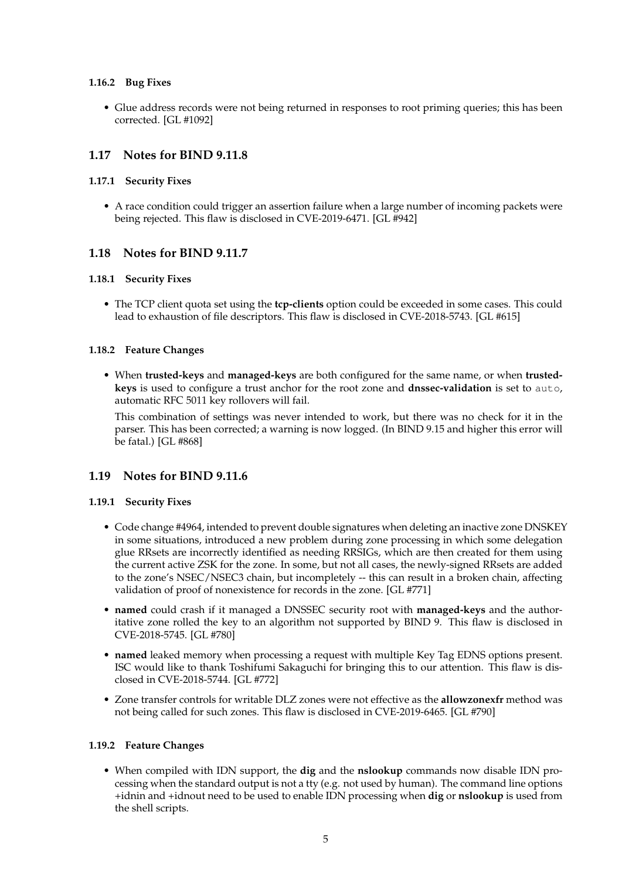### **1.16.2 Bug Fixes**

• Glue address records were not being returned in responses to root priming queries; this has been corrected. [GL #1092]

# **1.17 Notes for BIND 9.11.8**

### **1.17.1 Security Fixes**

• A race condition could trigger an assertion failure when a large number of incoming packets were being rejected. This flaw is disclosed in CVE-2019-6471. [GL #942]

# **1.18 Notes for BIND 9.11.7**

### **1.18.1 Security Fixes**

• The TCP client quota set using the **tcp-clients** option could be exceeded in some cases. This could lead to exhaustion of file descriptors. This flaw is disclosed in CVE-2018-5743. [GL #615]

### **1.18.2 Feature Changes**

• When **trusted-keys** and **managed-keys** are both configured for the same name, or when **trustedkeys** is used to configure a trust anchor for the root zone and **dnssec-validation** is set to auto, automatic RFC 5011 key rollovers will fail.

This combination of settings was never intended to work, but there was no check for it in the parser. This has been corrected; a warning is now logged. (In BIND 9.15 and higher this error will be fatal.) [GL #868]

# **1.19 Notes for BIND 9.11.6**

#### **1.19.1 Security Fixes**

- Code change #4964, intended to prevent double signatures when deleting an inactive zone DNSKEY in some situations, introduced a new problem during zone processing in which some delegation glue RRsets are incorrectly identified as needing RRSIGs, which are then created for them using the current active ZSK for the zone. In some, but not all cases, the newly-signed RRsets are added to the zone's NSEC/NSEC3 chain, but incompletely -- this can result in a broken chain, affecting validation of proof of nonexistence for records in the zone. [GL #771]
- **named** could crash if it managed a DNSSEC security root with **managed-keys** and the authoritative zone rolled the key to an algorithm not supported by BIND 9. This flaw is disclosed in CVE-2018-5745. [GL #780]
- **named** leaked memory when processing a request with multiple Key Tag EDNS options present. ISC would like to thank Toshifumi Sakaguchi for bringing this to our attention. This flaw is disclosed in CVE-2018-5744. [GL #772]
- Zone transfer controls for writable DLZ zones were not effective as the **allowzonexfr** method was not being called for such zones. This flaw is disclosed in CVE-2019-6465. [GL #790]

# **1.19.2 Feature Changes**

• When compiled with IDN support, the **dig** and the **nslookup** commands now disable IDN processing when the standard output is not a tty (e.g. not used by human). The command line options +idnin and +idnout need to be used to enable IDN processing when **dig** or **nslookup** is used from the shell scripts.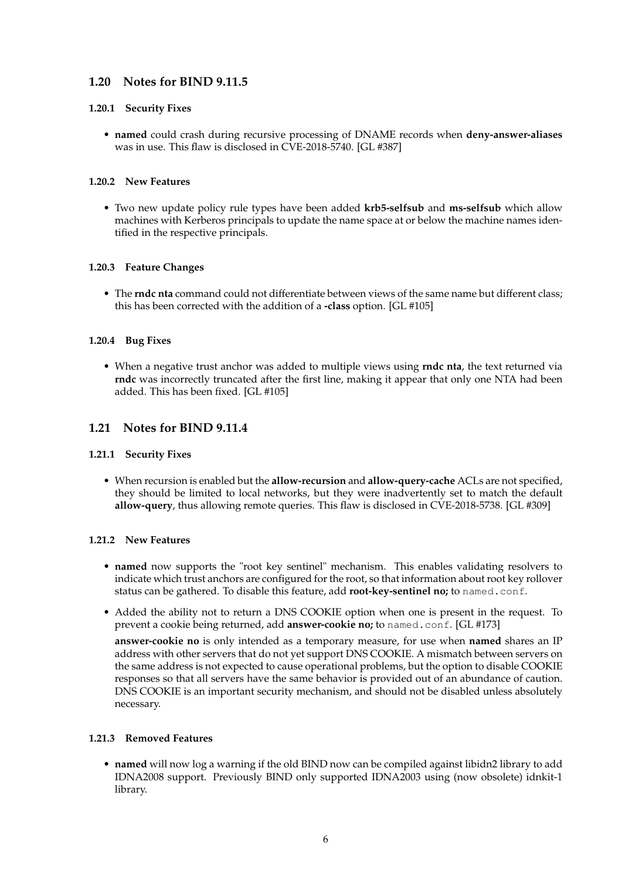# **1.20 Notes for BIND 9.11.5**

### **1.20.1 Security Fixes**

• **named** could crash during recursive processing of DNAME records when **deny-answer-aliases** was in use. This flaw is disclosed in CVE-2018-5740. [GL #387]

### **1.20.2 New Features**

• Two new update policy rule types have been added **krb5-selfsub** and **ms-selfsub** which allow machines with Kerberos principals to update the name space at or below the machine names identified in the respective principals.

### **1.20.3 Feature Changes**

• The **rndc nta** command could not differentiate between views of the same name but different class; this has been corrected with the addition of a **-class** option. [GL #105]

### **1.20.4 Bug Fixes**

• When a negative trust anchor was added to multiple views using **rndc nta**, the text returned via **rndc** was incorrectly truncated after the first line, making it appear that only one NTA had been added. This has been fixed. [GL #105]

# **1.21 Notes for BIND 9.11.4**

#### **1.21.1 Security Fixes**

• When recursion is enabled but the **allow-recursion** and **allow-query-cache** ACLs are not specified, they should be limited to local networks, but they were inadvertently set to match the default **allow-query**, thus allowing remote queries. This flaw is disclosed in CVE-2018-5738. [GL #309]

#### **1.21.2 New Features**

- **named** now supports the "root key sentinel" mechanism. This enables validating resolvers to indicate which trust anchors are configured for the root, so that information about root key rollover status can be gathered. To disable this feature, add **root-key-sentinel no;** to named.conf.
- Added the ability not to return a DNS COOKIE option when one is present in the request. To prevent a cookie being returned, add **answer-cookie no;** to named.conf. [GL #173]

**answer-cookie no** is only intended as a temporary measure, for use when **named** shares an IP address with other servers that do not yet support DNS COOKIE. A mismatch between servers on the same address is not expected to cause operational problems, but the option to disable COOKIE responses so that all servers have the same behavior is provided out of an abundance of caution. DNS COOKIE is an important security mechanism, and should not be disabled unless absolutely necessary.

#### **1.21.3 Removed Features**

• **named** will now log a warning if the old BIND now can be compiled against libidn2 library to add IDNA2008 support. Previously BIND only supported IDNA2003 using (now obsolete) idnkit-1 library.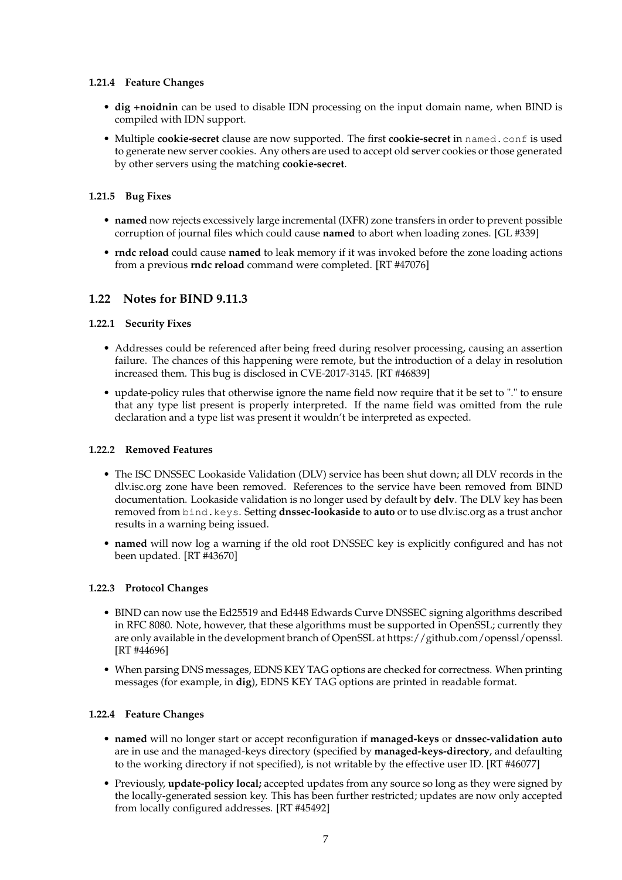# **1.21.4 Feature Changes**

- **dig +noidnin** can be used to disable IDN processing on the input domain name, when BIND is compiled with IDN support.
- Multiple **cookie-secret** clause are now supported. The first **cookie-secret** in named.conf is used to generate new server cookies. Any others are used to accept old server cookies or those generated by other servers using the matching **cookie-secret**.

### **1.21.5 Bug Fixes**

- **named** now rejects excessively large incremental (IXFR) zone transfers in order to prevent possible corruption of journal files which could cause **named** to abort when loading zones. [GL #339]
- **rndc reload** could cause **named** to leak memory if it was invoked before the zone loading actions from a previous **rndc reload** command were completed. [RT #47076]

# **1.22 Notes for BIND 9.11.3**

### **1.22.1 Security Fixes**

- Addresses could be referenced after being freed during resolver processing, causing an assertion failure. The chances of this happening were remote, but the introduction of a delay in resolution increased them. This bug is disclosed in CVE-2017-3145. [RT #46839]
- update-policy rules that otherwise ignore the name field now require that it be set to "." to ensure that any type list present is properly interpreted. If the name field was omitted from the rule declaration and a type list was present it wouldn't be interpreted as expected.

#### **1.22.2 Removed Features**

- The ISC DNSSEC Lookaside Validation (DLV) service has been shut down; all DLV records in the dlv.isc.org zone have been removed. References to the service have been removed from BIND documentation. Lookaside validation is no longer used by default by **delv**. The DLV key has been removed from bind.keys. Setting **dnssec-lookaside** to **auto** or to use dlv.isc.org as a trust anchor results in a warning being issued.
- **named** will now log a warning if the old root DNSSEC key is explicitly configured and has not been updated. [RT #43670]

#### **1.22.3 Protocol Changes**

- BIND can now use the Ed25519 and Ed448 Edwards Curve DNSSEC signing algorithms described in RFC 8080. Note, however, that these algorithms must be supported in OpenSSL; currently they are only available in the development branch of OpenSSL at https://github.com/openssl/openssl. [RT #44696]
- When parsing DNS messages, EDNS KEY TAG options are checked for correctness. When printing messages (for example, in **dig**), EDNS KEY TAG options are printed in readable format.

# **1.22.4 Feature Changes**

- **named** will no longer start or accept reconfiguration if **managed-keys** or **dnssec-validation auto** are in use and the managed-keys directory (specified by **managed-keys-directory**, and defaulting to the working directory if not specified), is not writable by the effective user ID. [RT #46077]
- Previously, **update-policy local;** accepted updates from any source so long as they were signed by the locally-generated session key. This has been further restricted; updates are now only accepted from locally configured addresses. [RT #45492]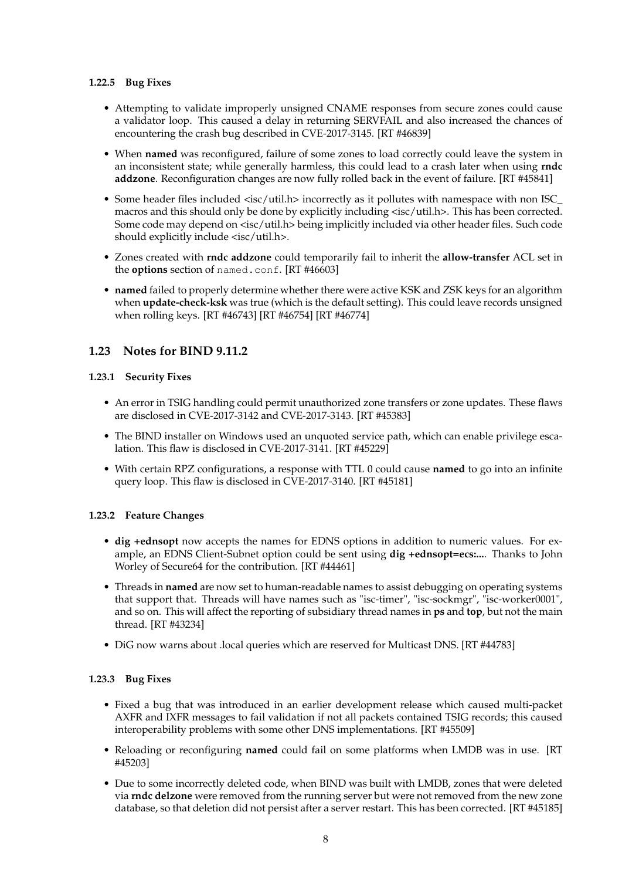### **1.22.5 Bug Fixes**

- Attempting to validate improperly unsigned CNAME responses from secure zones could cause a validator loop. This caused a delay in returning SERVFAIL and also increased the chances of encountering the crash bug described in CVE-2017-3145. [RT #46839]
- When **named** was reconfigured, failure of some zones to load correctly could leave the system in an inconsistent state; while generally harmless, this could lead to a crash later when using **rndc addzone**. Reconfiguration changes are now fully rolled back in the event of failure. [RT #45841]
- Some header files included <isc/util.h> incorrectly as it pollutes with namespace with non ISC\_ macros and this should only be done by explicitly including <isc/util.h>. This has been corrected. Some code may depend on <isc/util.h> being implicitly included via other header files. Such code should explicitly include <isc/util.h>.
- Zones created with **rndc addzone** could temporarily fail to inherit the **allow-transfer** ACL set in the **options** section of named.conf. [RT #46603]
- **named** failed to properly determine whether there were active KSK and ZSK keys for an algorithm when **update-check-ksk** was true (which is the default setting). This could leave records unsigned when rolling keys. [RT #46743] [RT #46754] [RT #46774]

# **1.23 Notes for BIND 9.11.2**

# **1.23.1 Security Fixes**

- An error in TSIG handling could permit unauthorized zone transfers or zone updates. These flaws are disclosed in CVE-2017-3142 and CVE-2017-3143. [RT #45383]
- The BIND installer on Windows used an unquoted service path, which can enable privilege escalation. This flaw is disclosed in CVE-2017-3141. [RT #45229]
- With certain RPZ configurations, a response with TTL 0 could cause **named** to go into an infinite query loop. This flaw is disclosed in CVE-2017-3140. [RT #45181]

# **1.23.2 Feature Changes**

- **dig +ednsopt** now accepts the names for EDNS options in addition to numeric values. For example, an EDNS Client-Subnet option could be sent using **dig +ednsopt=ecs:...**. Thanks to John Worley of Secure64 for the contribution. [RT #44461]
- Threads in **named** are now set to human-readable names to assist debugging on operating systems that support that. Threads will have names such as "isc-timer", "isc-sockmgr", "isc-worker0001", and so on. This will affect the reporting of subsidiary thread names in **ps** and **top**, but not the main thread. [RT #43234]
- DiG now warns about .local queries which are reserved for Multicast DNS. [RT #44783]

# **1.23.3 Bug Fixes**

- Fixed a bug that was introduced in an earlier development release which caused multi-packet AXFR and IXFR messages to fail validation if not all packets contained TSIG records; this caused interoperability problems with some other DNS implementations. [RT #45509]
- Reloading or reconfiguring **named** could fail on some platforms when LMDB was in use. [RT #45203]
- Due to some incorrectly deleted code, when BIND was built with LMDB, zones that were deleted via **rndc delzone** were removed from the running server but were not removed from the new zone database, so that deletion did not persist after a server restart. This has been corrected. [RT #45185]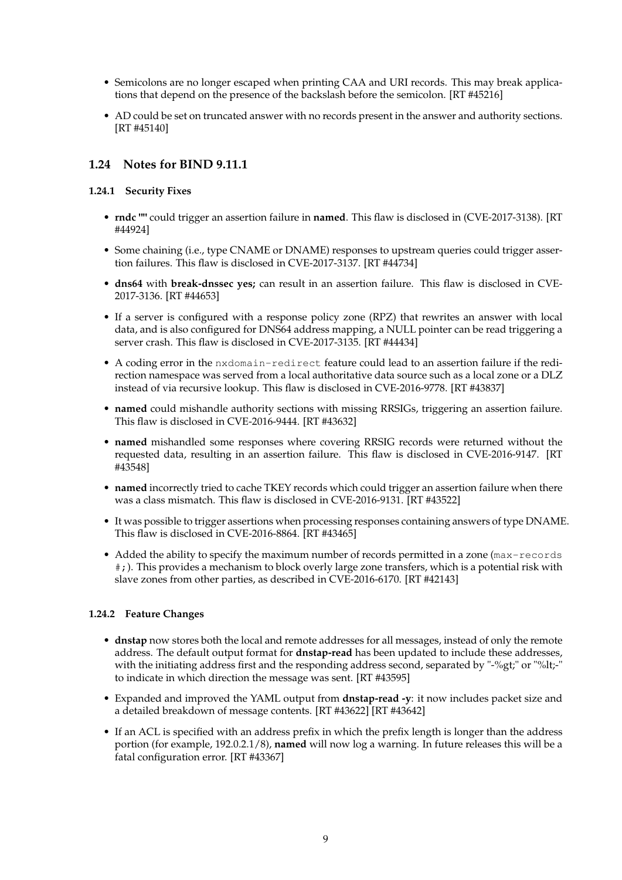- Semicolons are no longer escaped when printing CAA and URI records. This may break applications that depend on the presence of the backslash before the semicolon. [RT #45216]
- AD could be set on truncated answer with no records present in the answer and authority sections. [RT #45140]

# **1.24 Notes for BIND 9.11.1**

# **1.24.1 Security Fixes**

- **rndc ""** could trigger an assertion failure in **named**. This flaw is disclosed in (CVE-2017-3138). [RT #44924]
- Some chaining (i.e., type CNAME or DNAME) responses to upstream queries could trigger assertion failures. This flaw is disclosed in CVE-2017-3137. [RT #44734]
- **dns64** with **break-dnssec yes;** can result in an assertion failure. This flaw is disclosed in CVE-2017-3136. [RT #44653]
- If a server is configured with a response policy zone (RPZ) that rewrites an answer with local data, and is also configured for DNS64 address mapping, a NULL pointer can be read triggering a server crash. This flaw is disclosed in CVE-2017-3135. [RT #44434]
- A coding error in the nxdomain-redirect feature could lead to an assertion failure if the redirection namespace was served from a local authoritative data source such as a local zone or a DLZ instead of via recursive lookup. This flaw is disclosed in CVE-2016-9778. [RT #43837]
- **named** could mishandle authority sections with missing RRSIGs, triggering an assertion failure. This flaw is disclosed in CVE-2016-9444. [RT #43632]
- **named** mishandled some responses where covering RRSIG records were returned without the requested data, resulting in an assertion failure. This flaw is disclosed in CVE-2016-9147. [RT #43548]
- **named** incorrectly tried to cache TKEY records which could trigger an assertion failure when there was a class mismatch. This flaw is disclosed in CVE-2016-9131. [RT #43522]
- It was possible to trigger assertions when processing responses containing answers of type DNAME. This flaw is disclosed in CVE-2016-8864. [RT #43465]
- Added the ability to specify the maximum number of records permitted in a zone (max-records #;). This provides a mechanism to block overly large zone transfers, which is a potential risk with slave zones from other parties, as described in CVE-2016-6170. [RT #42143]

# **1.24.2 Feature Changes**

- **dnstap** now stores both the local and remote addresses for all messages, instead of only the remote address. The default output format for **dnstap-read** has been updated to include these addresses, with the initiating address first and the responding address second, separated by "-%gt;" or "%lt;-" to indicate in which direction the message was sent. [RT #43595]
- Expanded and improved the YAML output from **dnstap-read -y**: it now includes packet size and a detailed breakdown of message contents. [RT #43622] [RT #43642]
- If an ACL is specified with an address prefix in which the prefix length is longer than the address portion (for example, 192.0.2.1/8), **named** will now log a warning. In future releases this will be a fatal configuration error. [RT #43367]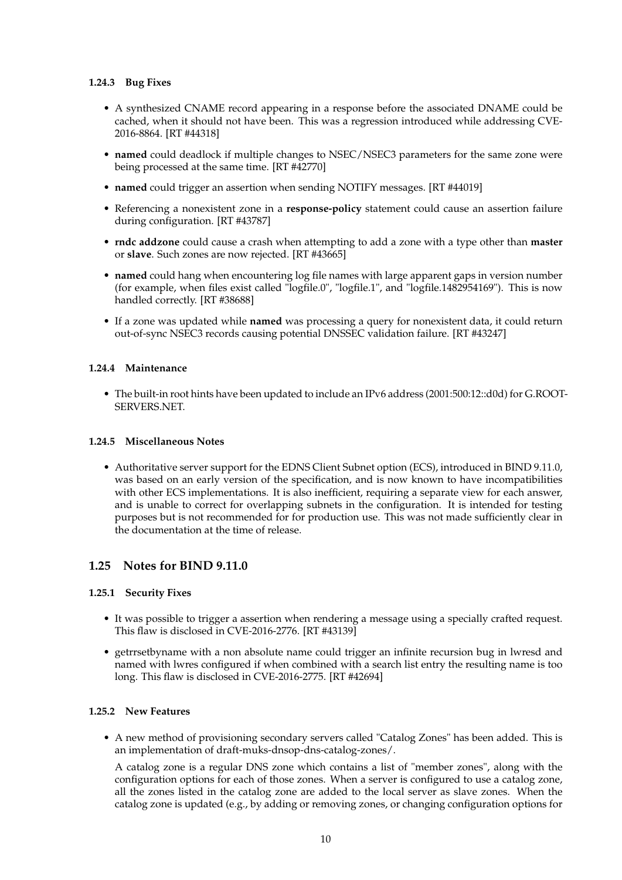### **1.24.3 Bug Fixes**

- A synthesized CNAME record appearing in a response before the associated DNAME could be cached, when it should not have been. This was a regression introduced while addressing CVE-2016-8864. [RT #44318]
- **named** could deadlock if multiple changes to NSEC/NSEC3 parameters for the same zone were being processed at the same time. [RT #42770]
- **named** could trigger an assertion when sending NOTIFY messages. [RT #44019]
- Referencing a nonexistent zone in a **response-policy** statement could cause an assertion failure during configuration. [RT #43787]
- **rndc addzone** could cause a crash when attempting to add a zone with a type other than **master** or **slave**. Such zones are now rejected. [RT #43665]
- **named** could hang when encountering log file names with large apparent gaps in version number (for example, when files exist called "logfile.0", "logfile.1", and "logfile.1482954169"). This is now handled correctly. [RT #38688]
- If a zone was updated while **named** was processing a query for nonexistent data, it could return out-of-sync NSEC3 records causing potential DNSSEC validation failure. [RT #43247]

### **1.24.4 Maintenance**

• The built-in root hints have been updated to include an IPv6 address (2001:500:12::d0d) for G.ROOT-SERVERS.NET.

#### **1.24.5 Miscellaneous Notes**

• Authoritative server support for the EDNS Client Subnet option (ECS), introduced in BIND 9.11.0, was based on an early version of the specification, and is now known to have incompatibilities with other ECS implementations. It is also inefficient, requiring a separate view for each answer, and is unable to correct for overlapping subnets in the configuration. It is intended for testing purposes but is not recommended for for production use. This was not made sufficiently clear in the documentation at the time of release.

# **1.25 Notes for BIND 9.11.0**

#### **1.25.1 Security Fixes**

- It was possible to trigger a assertion when rendering a message using a specially crafted request. This flaw is disclosed in CVE-2016-2776. [RT #43139]
- getrrsetbyname with a non absolute name could trigger an infinite recursion bug in lwresd and named with lwres configured if when combined with a search list entry the resulting name is too long. This flaw is disclosed in CVE-2016-2775. [RT #42694]

#### **1.25.2 New Features**

• A new method of provisioning secondary servers called "Catalog Zones" has been added. This is an implementation of draft-muks-dnsop-dns-catalog-zones/.

A catalog zone is a regular DNS zone which contains a list of "member zones", along with the configuration options for each of those zones. When a server is configured to use a catalog zone, all the zones listed in the catalog zone are added to the local server as slave zones. When the catalog zone is updated (e.g., by adding or removing zones, or changing configuration options for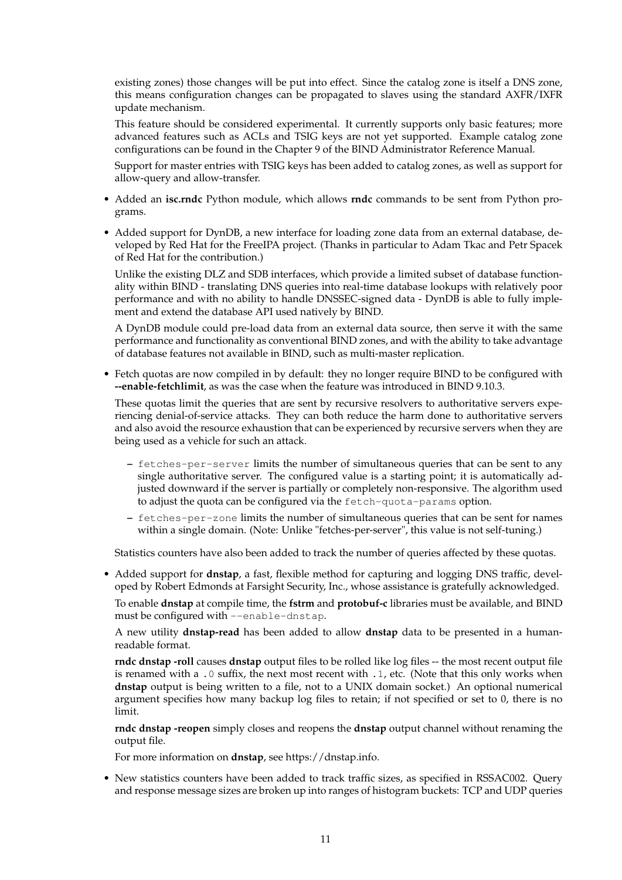existing zones) those changes will be put into effect. Since the catalog zone is itself a DNS zone, this means configuration changes can be propagated to slaves using the standard AXFR/IXFR update mechanism.

This feature should be considered experimental. It currently supports only basic features; more advanced features such as ACLs and TSIG keys are not yet supported. Example catalog zone configurations can be found in the Chapter 9 of the BIND Administrator Reference Manual.

Support for master entries with TSIG keys has been added to catalog zones, as well as support for allow-query and allow-transfer.

- Added an **isc.rndc** Python module, which allows **rndc** commands to be sent from Python programs.
- Added support for DynDB, a new interface for loading zone data from an external database, developed by Red Hat for the FreeIPA project. (Thanks in particular to Adam Tkac and Petr Spacek of Red Hat for the contribution.)

Unlike the existing DLZ and SDB interfaces, which provide a limited subset of database functionality within BIND - translating DNS queries into real-time database lookups with relatively poor performance and with no ability to handle DNSSEC-signed data - DynDB is able to fully implement and extend the database API used natively by BIND.

A DynDB module could pre-load data from an external data source, then serve it with the same performance and functionality as conventional BIND zones, and with the ability to take advantage of database features not available in BIND, such as multi-master replication.

• Fetch quotas are now compiled in by default: they no longer require BIND to be configured with **--enable-fetchlimit**, as was the case when the feature was introduced in BIND 9.10.3.

These quotas limit the queries that are sent by recursive resolvers to authoritative servers experiencing denial-of-service attacks. They can both reduce the harm done to authoritative servers and also avoid the resource exhaustion that can be experienced by recursive servers when they are being used as a vehicle for such an attack.

- **–** fetches-per-server limits the number of simultaneous queries that can be sent to any single authoritative server. The configured value is a starting point; it is automatically adjusted downward if the server is partially or completely non-responsive. The algorithm used to adjust the quota can be configured via the fetch-quota-params option.
- **–** fetches-per-zone limits the number of simultaneous queries that can be sent for names within a single domain. (Note: Unlike "fetches-per-server", this value is not self-tuning.)

Statistics counters have also been added to track the number of queries affected by these quotas.

• Added support for **dnstap**, a fast, flexible method for capturing and logging DNS traffic, developed by Robert Edmonds at Farsight Security, Inc., whose assistance is gratefully acknowledged.

To enable **dnstap** at compile time, the **fstrm** and **protobuf-c** libraries must be available, and BIND must be configured with --enable-dnstap.

A new utility **dnstap-read** has been added to allow **dnstap** data to be presented in a humanreadable format.

**rndc dnstap -roll** causes **dnstap** output files to be rolled like log files -- the most recent output file is renamed with a .0 suffix, the next most recent with .1, etc. (Note that this only works when **dnstap** output is being written to a file, not to a UNIX domain socket.) An optional numerical argument specifies how many backup log files to retain; if not specified or set to 0, there is no limit.

**rndc dnstap -reopen** simply closes and reopens the **dnstap** output channel without renaming the output file.

For more information on **dnstap**, see https://dnstap.info.

• New statistics counters have been added to track traffic sizes, as specified in RSSAC002. Query and response message sizes are broken up into ranges of histogram buckets: TCP and UDP queries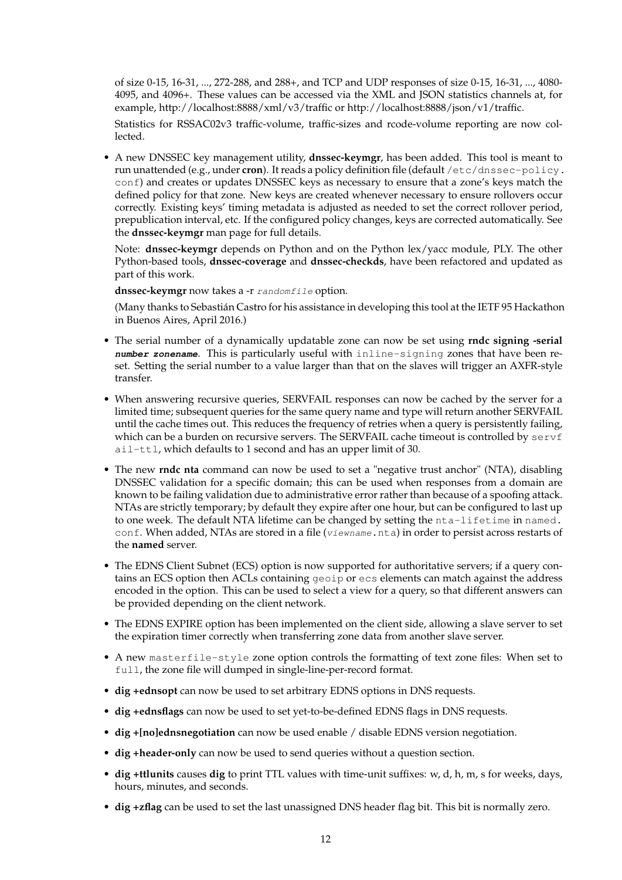of size 0-15, 16-31, ..., 272-288, and 288+, and TCP and UDP responses of size 0-15, 16-31, ..., 4080- 4095, and 4096+. These values can be accessed via the XML and JSON statistics channels at, for example, http://localhost:8888/xml/v3/traffic or http://localhost:8888/json/v1/traffic.

Statistics for RSSAC02v3 traffic-volume, traffic-sizes and rcode-volume reporting are now collected.

• A new DNSSEC key management utility, **dnssec-keymgr**, has been added. This tool is meant to run unattended (e.g., under **cron**). It reads a policy definition file (default /etc/dnssec-policy. conf) and creates or updates DNSSEC keys as necessary to ensure that a zone's keys match the defined policy for that zone. New keys are created whenever necessary to ensure rollovers occur correctly. Existing keys' timing metadata is adjusted as needed to set the correct rollover period, prepublication interval, etc. If the configured policy changes, keys are corrected automatically. See the **dnssec-keymgr** man page for full details.

Note: **dnssec-keymgr** depends on Python and on the Python lex/yacc module, PLY. The other Python-based tools, **dnssec-coverage** and **dnssec-checkds**, have been refactored and updated as part of this work.

dnssec-keymgr now takes a -r randomfile option.

(Many thanks to Sebastián Castro for his assistance in developing this tool at the IETF 95 Hackathon in Buenos Aires, April 2016.)

- The serial number of a dynamically updatable zone can now be set using **rndc signing -serial number zonename**. This is particularly useful with inline-signing zones that have been reset. Setting the serial number to a value larger than that on the slaves will trigger an AXFR-style transfer.
- When answering recursive queries, SERVFAIL responses can now be cached by the server for a limited time; subsequent queries for the same query name and type will return another SERVFAIL until the cache times out. This reduces the frequency of retries when a query is persistently failing, which can be a burden on recursive servers. The SERVFAIL cache timeout is controlled by  $servf$ ail-ttl, which defaults to 1 second and has an upper limit of 30.
- The new **rndc nta** command can now be used to set a "negative trust anchor" (NTA), disabling DNSSEC validation for a specific domain; this can be used when responses from a domain are known to be failing validation due to administrative error rather than because of a spoofing attack. NTAs are strictly temporary; by default they expire after one hour, but can be configured to last up to one week. The default NTA lifetime can be changed by setting the nta-lifetime in named. conf. When added, NTAs are stored in a file (viewname.nta) in order to persist across restarts of the **named** server.
- The EDNS Client Subnet (ECS) option is now supported for authoritative servers; if a query contains an ECS option then ACLs containing geoip or ecs elements can match against the address encoded in the option. This can be used to select a view for a query, so that different answers can be provided depending on the client network.
- The EDNS EXPIRE option has been implemented on the client side, allowing a slave server to set the expiration timer correctly when transferring zone data from another slave server.
- A new masterfile-style zone option controls the formatting of text zone files: When set to full, the zone file will dumped in single-line-per-record format.
- **dig +ednsopt** can now be used to set arbitrary EDNS options in DNS requests.
- **dig +ednsflags** can now be used to set yet-to-be-defined EDNS flags in DNS requests.
- **dig +[no]ednsnegotiation** can now be used enable / disable EDNS version negotiation.
- **dig +header-only** can now be used to send queries without a question section.
- **dig +ttlunits** causes **dig** to print TTL values with time-unit suffixes: w, d, h, m, s for weeks, days, hours, minutes, and seconds.
- **dig +zflag** can be used to set the last unassigned DNS header flag bit. This bit is normally zero.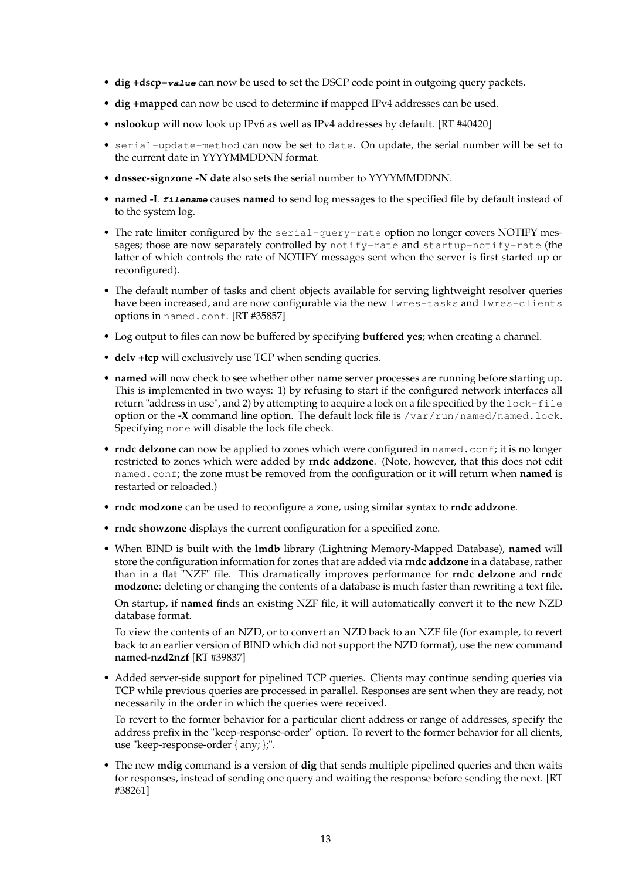- **dig +dscp=value** can now be used to set the DSCP code point in outgoing query packets.
- **dig +mapped** can now be used to determine if mapped IPv4 addresses can be used.
- **nslookup** will now look up IPv6 as well as IPv4 addresses by default. [RT #40420]
- serial-update-method can now be set to date. On update, the serial number will be set to the current date in YYYYMMDDNN format.
- **dnssec-signzone -N date** also sets the serial number to YYYYMMDDNN.
- **named -L filename** causes **named** to send log messages to the specified file by default instead of to the system log.
- The rate limiter configured by the serial-query-rate option no longer covers NOTIFY messages; those are now separately controlled by notify-rate and startup-notify-rate (the latter of which controls the rate of NOTIFY messages sent when the server is first started up or reconfigured).
- The default number of tasks and client objects available for serving lightweight resolver queries have been increased, and are now configurable via the new lwres-tasks and lwres-clients options in named.conf. [RT #35857]
- Log output to files can now be buffered by specifying **buffered yes;** when creating a channel.
- **delv +tcp** will exclusively use TCP when sending queries.
- **named** will now check to see whether other name server processes are running before starting up. This is implemented in two ways: 1) by refusing to start if the configured network interfaces all return "address in use", and 2) by attempting to acquire a lock on a file specified by the lock-file option or the **-X** command line option. The default lock file is /var/run/named/named.lock. Specifying none will disable the lock file check.
- **rndc delzone** can now be applied to zones which were configured in named.conf; it is no longer restricted to zones which were added by **rndc addzone**. (Note, however, that this does not edit named.conf; the zone must be removed from the configuration or it will return when **named** is restarted or reloaded.)
- **rndc modzone** can be used to reconfigure a zone, using similar syntax to **rndc addzone**.
- **rndc showzone** displays the current configuration for a specified zone.
- When BIND is built with the **lmdb** library (Lightning Memory-Mapped Database), **named** will store the configuration information for zones that are added via **rndc addzone** in a database, rather than in a flat "NZF" file. This dramatically improves performance for **rndc delzone** and **rndc modzone**: deleting or changing the contents of a database is much faster than rewriting a text file.

On startup, if **named** finds an existing NZF file, it will automatically convert it to the new NZD database format.

To view the contents of an NZD, or to convert an NZD back to an NZF file (for example, to revert back to an earlier version of BIND which did not support the NZD format), use the new command **named-nzd2nzf** [RT #39837]

• Added server-side support for pipelined TCP queries. Clients may continue sending queries via TCP while previous queries are processed in parallel. Responses are sent when they are ready, not necessarily in the order in which the queries were received.

To revert to the former behavior for a particular client address or range of addresses, specify the address prefix in the "keep-response-order" option. To revert to the former behavior for all clients, use "keep-response-order { any; };".

• The new **mdig** command is a version of **dig** that sends multiple pipelined queries and then waits for responses, instead of sending one query and waiting the response before sending the next. [RT #38261]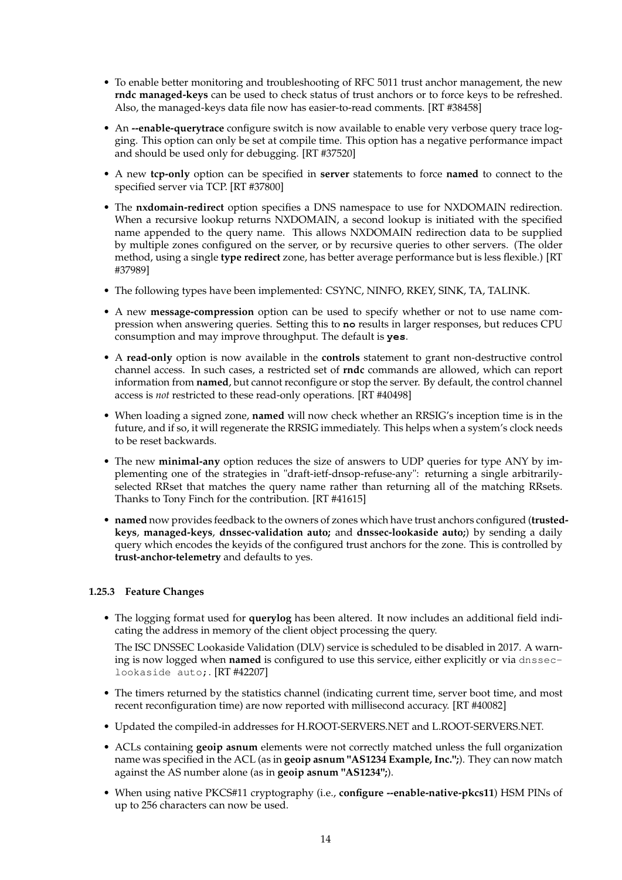- To enable better monitoring and troubleshooting of RFC 5011 trust anchor management, the new **rndc managed-keys** can be used to check status of trust anchors or to force keys to be refreshed. Also, the managed-keys data file now has easier-to-read comments. [RT #38458]
- An **--enable-querytrace** configure switch is now available to enable very verbose query trace logging. This option can only be set at compile time. This option has a negative performance impact and should be used only for debugging. [RT #37520]
- A new **tcp-only** option can be specified in **server** statements to force **named** to connect to the specified server via TCP. [RT #37800]
- The **nxdomain-redirect** option specifies a DNS namespace to use for NXDOMAIN redirection. When a recursive lookup returns NXDOMAIN, a second lookup is initiated with the specified name appended to the query name. This allows NXDOMAIN redirection data to be supplied by multiple zones configured on the server, or by recursive queries to other servers. (The older method, using a single **type redirect** zone, has better average performance but is less flexible.) [RT #37989]
- The following types have been implemented: CSYNC, NINFO, RKEY, SINK, TA, TALINK.
- A new **message-compression** option can be used to specify whether or not to use name compression when answering queries. Setting this to **no** results in larger responses, but reduces CPU consumption and may improve throughput. The default is **yes**.
- A **read-only** option is now available in the **controls** statement to grant non-destructive control channel access. In such cases, a restricted set of **rndc** commands are allowed, which can report information from **named**, but cannot reconfigure or stop the server. By default, the control channel access is *not* restricted to these read-only operations. [RT #40498]
- When loading a signed zone, **named** will now check whether an RRSIG's inception time is in the future, and if so, it will regenerate the RRSIG immediately. This helps when a system's clock needs to be reset backwards.
- The new **minimal-any** option reduces the size of answers to UDP queries for type ANY by implementing one of the strategies in "draft-ietf-dnsop-refuse-any": returning a single arbitrarilyselected RRset that matches the query name rather than returning all of the matching RRsets. Thanks to Tony Finch for the contribution. [RT #41615]
- **named** now provides feedback to the owners of zones which have trust anchors configured (**trustedkeys**, **managed-keys**, **dnssec-validation auto;** and **dnssec-lookaside auto;**) by sending a daily query which encodes the keyids of the configured trust anchors for the zone. This is controlled by **trust-anchor-telemetry** and defaults to yes.

# **1.25.3 Feature Changes**

• The logging format used for **querylog** has been altered. It now includes an additional field indicating the address in memory of the client object processing the query.

The ISC DNSSEC Lookaside Validation (DLV) service is scheduled to be disabled in 2017. A warning is now logged when **named** is configured to use this service, either explicitly or via dnsseclookaside auto;. [RT #42207]

- The timers returned by the statistics channel (indicating current time, server boot time, and most recent reconfiguration time) are now reported with millisecond accuracy. [RT #40082]
- Updated the compiled-in addresses for H.ROOT-SERVERS.NET and L.ROOT-SERVERS.NET.
- ACLs containing **geoip asnum** elements were not correctly matched unless the full organization name was specified in the ACL (as in **geoip asnum "AS1234 Example, Inc.";**). They can now match against the AS number alone (as in **geoip asnum "AS1234";**).
- When using native PKCS#11 cryptography (i.e., **configure --enable-native-pkcs11**) HSM PINs of up to 256 characters can now be used.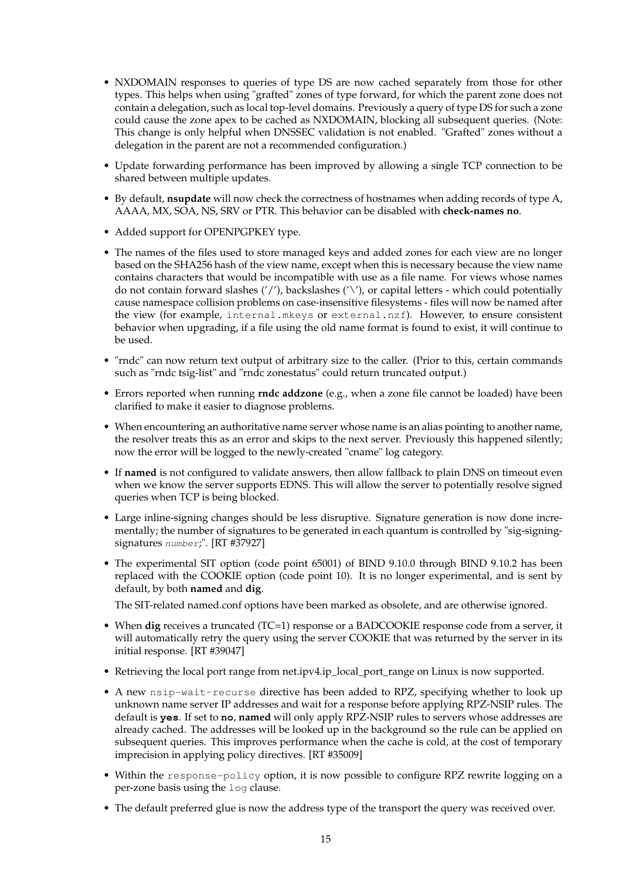- NXDOMAIN responses to queries of type DS are now cached separately from those for other types. This helps when using "grafted" zones of type forward, for which the parent zone does not contain a delegation, such as local top-level domains. Previously a query of type DS for such a zone could cause the zone apex to be cached as NXDOMAIN, blocking all subsequent queries. (Note: This change is only helpful when DNSSEC validation is not enabled. "Grafted" zones without a delegation in the parent are not a recommended configuration.)
- Update forwarding performance has been improved by allowing a single TCP connection to be shared between multiple updates.
- By default, **nsupdate** will now check the correctness of hostnames when adding records of type A, AAAA, MX, SOA, NS, SRV or PTR. This behavior can be disabled with **check-names no**.
- Added support for OPENPGPKEY type.
- The names of the files used to store managed keys and added zones for each view are no longer based on the SHA256 hash of the view name, except when this is necessary because the view name contains characters that would be incompatible with use as a file name. For views whose names do not contain forward slashes  $('')$ , backslashes  $('')$ , or capital letters - which could potentially cause namespace collision problems on case-insensitive filesystems - files will now be named after the view (for example, internal.mkeys or external.nzf). However, to ensure consistent behavior when upgrading, if a file using the old name format is found to exist, it will continue to be used.
- "rndc" can now return text output of arbitrary size to the caller. (Prior to this, certain commands such as "rndc tsig-list" and "rndc zonestatus" could return truncated output.)
- Errors reported when running **rndc addzone** (e.g., when a zone file cannot be loaded) have been clarified to make it easier to diagnose problems.
- When encountering an authoritative name server whose name is an alias pointing to another name, the resolver treats this as an error and skips to the next server. Previously this happened silently; now the error will be logged to the newly-created "cname" log category.
- If **named** is not configured to validate answers, then allow fallback to plain DNS on timeout even when we know the server supports EDNS. This will allow the server to potentially resolve signed queries when TCP is being blocked.
- Large inline-signing changes should be less disruptive. Signature generation is now done incrementally; the number of signatures to be generated in each quantum is controlled by "sig-signingsignatures number;". [RT #37927]
- The experimental SIT option (code point 65001) of BIND 9.10.0 through BIND 9.10.2 has been replaced with the COOKIE option (code point 10). It is no longer experimental, and is sent by default, by both **named** and **dig**.

The SIT-related named.conf options have been marked as obsolete, and are otherwise ignored.

- When **dig** receives a truncated (TC=1) response or a BADCOOKIE response code from a server, it will automatically retry the query using the server COOKIE that was returned by the server in its initial response. [RT #39047]
- Retrieving the local port range from net.ipv4.ip\_local\_port\_range on Linux is now supported.
- A new nsip-wait-recurse directive has been added to RPZ, specifying whether to look up unknown name server IP addresses and wait for a response before applying RPZ-NSIP rules. The default is **yes**. If set to **no**, **named** will only apply RPZ-NSIP rules to servers whose addresses are already cached. The addresses will be looked up in the background so the rule can be applied on subsequent queries. This improves performance when the cache is cold, at the cost of temporary imprecision in applying policy directives. [RT #35009]
- Within the response-policy option, it is now possible to configure RPZ rewrite logging on a per-zone basis using the log clause.
- The default preferred glue is now the address type of the transport the query was received over.